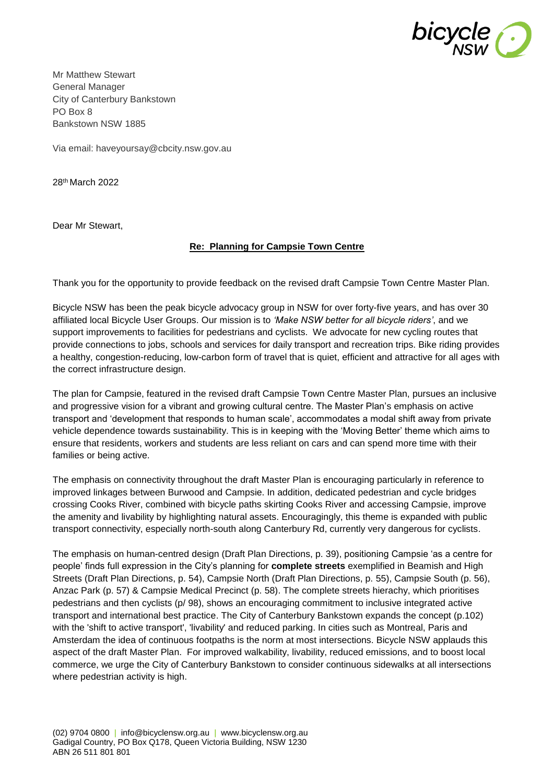

Mr Matthew Stewart General Manager City of Canterbury Bankstown PO Box 8 Bankstown NSW 1885

Via email: haveyoursay@cbcity.nsw.gov.au

28th March 2022

Dear Mr Stewart,

## **Re: Planning for Campsie Town Centre**

Thank you for the opportunity to provide feedback on the revised draft Campsie Town Centre Master Plan.

Bicycle NSW has been the peak bicycle advocacy group in NSW for over forty-five years, and has over 30 affiliated local Bicycle User Groups. Our mission is to *'Make NSW better for all bicycle riders'*, and we support improvements to facilities for pedestrians and cyclists. We advocate for new cycling routes that provide connections to jobs, schools and services for daily transport and recreation trips. Bike riding provides a healthy, congestion-reducing, low-carbon form of travel that is quiet, efficient and attractive for all ages with the correct infrastructure design.

The plan for Campsie, featured in the revised draft Campsie Town Centre Master Plan, pursues an inclusive and progressive vision for a vibrant and growing cultural centre. The Master Plan's emphasis on active transport and 'development that responds to human scale', accommodates a modal shift away from private vehicle dependence towards sustainability. This is in keeping with the 'Moving Better' theme which aims to ensure that residents, workers and students are less reliant on cars and can spend more time with their families or being active.

The emphasis on connectivity throughout the draft Master Plan is encouraging particularly in reference to improved linkages between Burwood and Campsie. In addition, dedicated pedestrian and cycle bridges crossing Cooks River, combined with bicycle paths skirting Cooks River and accessing Campsie, improve the amenity and livability by highlighting natural assets. Encouragingly, this theme is expanded with public transport connectivity, especially north-south along Canterbury Rd, currently very dangerous for cyclists.

The emphasis on human-centred design (Draft Plan Directions, p. 39), positioning Campsie 'as a centre for people' finds full expression in the City's planning for **complete streets** exemplified in Beamish and High Streets (Draft Plan Directions, p. 54), Campsie North (Draft Plan Directions, p. 55), Campsie South (p. 56), Anzac Park (p. 57) & Campsie Medical Precinct (p. 58). The complete streets hierachy, which prioritises pedestrians and then cyclists (p/ 98), shows an encouraging commitment to inclusive integrated active transport and international best practice. The City of Canterbury Bankstown expands the concept (p.102) with the 'shift to active transport', 'livability' and reduced parking. In cities such as Montreal, Paris and Amsterdam the idea of continuous footpaths is the norm at most intersections. Bicycle NSW applauds this aspect of the draft Master Plan. For improved walkability, livability, reduced emissions, and to boost local commerce, we urge the City of Canterbury Bankstown to consider continuous sidewalks at all intersections where pedestrian activity is high.